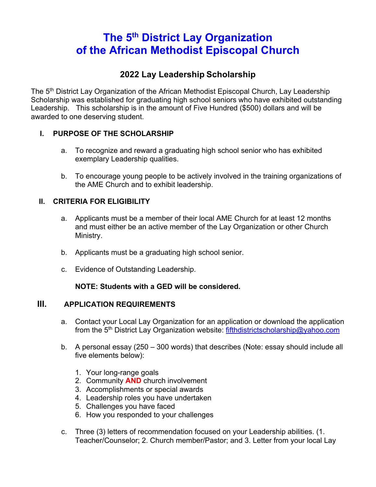# **The 5th District Lay Organization of the African Methodist Episcopal Church**

### **2022 Lay Leadership Scholarship**

The 5<sup>th</sup> District Lay Organization of the African Methodist Episcopal Church, Lay Leadership Scholarship was established for graduating high school seniors who have exhibited outstanding Leadership. This scholarship is in the amount of Five Hundred (\$500) dollars and will be awarded to one deserving student.

#### **I. PURPOSE OF THE SCHOLARSHIP**

- a. To recognize and reward a graduating high school senior who has exhibited exemplary Leadership qualities.
- b. To encourage young people to be actively involved in the training organizations of the AME Church and to exhibit leadership.

#### **II. CRITERIA FOR ELIGIBILITY**

- a. Applicants must be a member of their local AME Church for at least 12 months and must either be an active member of the Lay Organization or other Church Ministry.
- b. Applicants must be a graduating high school senior.
- c. Evidence of Outstanding Leadership.

#### **NOTE: Students with a GED will be considered.**

#### **III. APPLICATION REQUIREMENTS**

- a. Contact your Local Lay Organization for an application or download the application from the 5<sup>th</sup> District Lay Organization website: fifthdistrictscholarship@yahoo.com
- b. A personal essay (250 300 words) that describes (Note: essay should include all five elements below):
	- 1. Your long-range goals
	- 2. Community **AND** church involvement
	- 3. Accomplishments or special awards
	- 4. Leadership roles you have undertaken
	- 5. Challenges you have faced
	- 6. How you responded to your challenges
- c. Three (3) letters of recommendation focused on your Leadership abilities. (1. Teacher/Counselor; 2. Church member/Pastor; and 3. Letter from your local Lay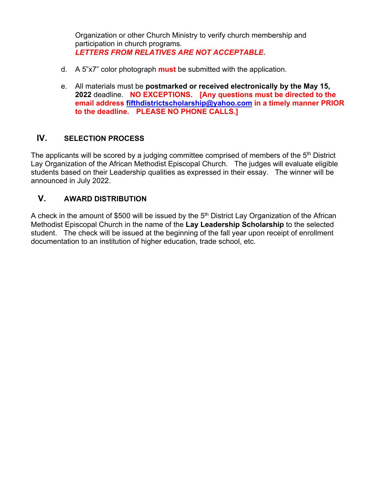Organization or other Church Ministry to verify church membership and participation in church programs. *LETTERS FROM RELATIVES ARE NOT ACCEPTABLE***.** 

- d. A 5"x7" color photograph **must** be submitted with the application.
- e. All materials must be **postmarked or received electronically by the May 15, 2022** deadline. **NO EXCEPTIONS. [Any questions must be directed to the email address fifthdistrictscholarship@yahoo.com in a timely manner PRIOR to the deadline. PLEASE NO PHONE CALLS.]**

### **IV. SELECTION PROCESS**

The applicants will be scored by a judging committee comprised of members of the 5<sup>th</sup> District Lay Organization of the African Methodist Episcopal Church. The judges will evaluate eligible students based on their Leadership qualities as expressed in their essay. The winner will be announced in July 2022.

### **V. AWARD DISTRIBUTION**

A check in the amount of \$500 will be issued by the 5<sup>th</sup> District Lay Organization of the African Methodist Episcopal Church in the name of the **Lay Leadership Scholarship** to the selected student. The check will be issued at the beginning of the fall year upon receipt of enrollment documentation to an institution of higher education, trade school, etc.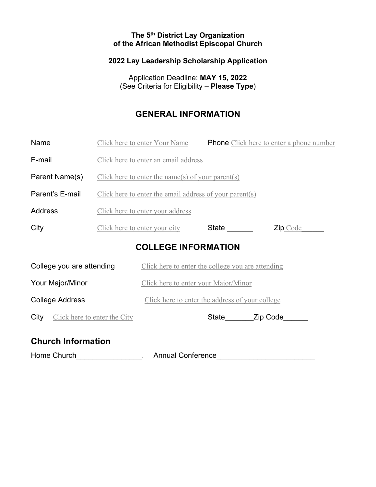#### **The 5th District Lay Organization of the African Methodist Episcopal Church**

#### **2022 Lay Leadership Scholarship Application**

Application Deadline: **MAY 15, 2022** (See Criteria for Eligibility – **Please Type**)

### **GENERAL INFORMATION**

| Name                                 |                                                         | Click here to enter Your Name                     |                |  | <b>Phone</b> Click here to enter a phone number |  |
|--------------------------------------|---------------------------------------------------------|---------------------------------------------------|----------------|--|-------------------------------------------------|--|
| E-mail                               |                                                         | Click here to enter an email address              |                |  |                                                 |  |
| Parent Name(s)                       | Click here to enter the name(s) of your parent(s)       |                                                   |                |  |                                                 |  |
| Parent's E-mail                      | Click here to enter the email address of your parent(s) |                                                   |                |  |                                                 |  |
| Address                              | Click here to enter your address                        |                                                   |                |  |                                                 |  |
| City                                 |                                                         | Click here to enter your city                     | State ________ |  | Zip Code                                        |  |
| <b>COLLEGE INFORMATION</b>           |                                                         |                                                   |                |  |                                                 |  |
| College you are attending            |                                                         | Click here to enter the college you are attending |                |  |                                                 |  |
| Your Major/Minor                     |                                                         | Click here to enter your Major/Minor              |                |  |                                                 |  |
| <b>College Address</b>               |                                                         | Click here to enter the address of your college   |                |  |                                                 |  |
| Click here to enter the City<br>City |                                                         |                                                   | State Zip Code |  |                                                 |  |
| Church Information                   |                                                         |                                                   |                |  |                                                 |  |

### **Church Information**

Home Church\_\_\_\_\_\_\_\_\_\_\_\_\_\_\_\_\_\_. Annual Conference\_\_\_\_\_\_\_\_\_\_\_\_\_\_\_\_\_\_\_\_\_\_\_\_\_\_\_\_\_\_\_\_